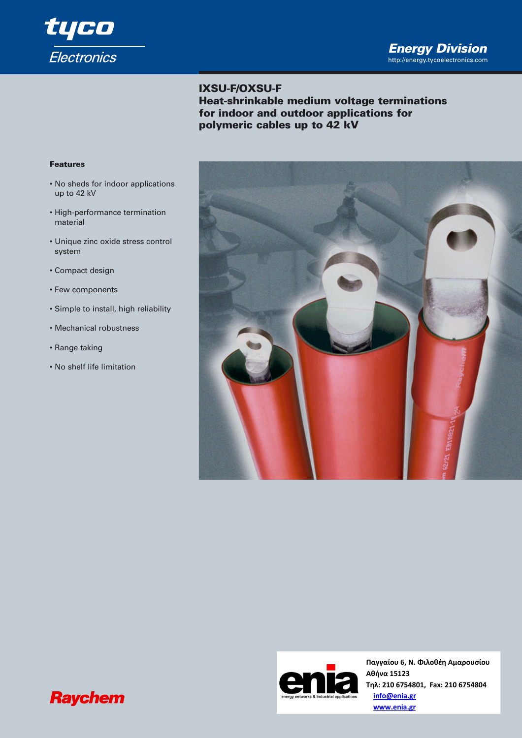

# **IXSU-F/OXSU-F**

**Heat-shrinkable medium voltage terminations for indoor and outdoor applications for polymeric cables up to 42 kV** 

#### **Features**

- No sheds for indoor applications up to 42 kV
- High-performance termination material
- Unique zinc oxide stress control system
- Compact design
- Few components
- Simple to install, high reliability
- Mechanical robustness
- Range taking
- No shelf life limitation





**Παγγαίου 6, Ν. Φιλοθέη Αμαρουσίου Αθήνα 15123 Τηλ: 210 6754801, Fax: 210 6754804 info@enia.gr www.enia.gr**

# **Raychem**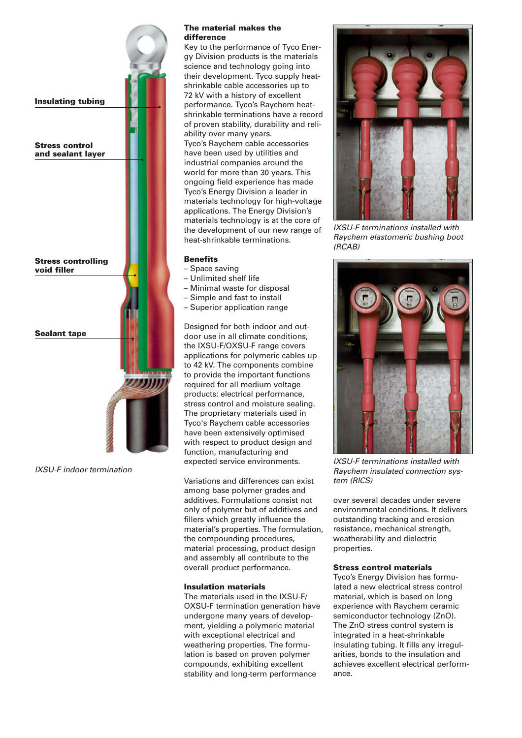

*IXSU-F indoor termination*

#### **The material makes the difference**

Key to the performance of Tyco Energy Division products is the materials science and technology going into their development. Tyco supply heatshrinkable cable accessories up to 72 kV with a history of excellent performance. Tyco's Raychem heatshrinkable terminations have a record of proven stability, durability and reliability over many years. Tyco's Raychem cable accessories have been used by utilities and industrial companies around the world for more than 30 years. This ongoing field experience has made Tyco's Energy Division a leader in materials technology for high-voltage applications. The Energy Division's materials technology is at the core of the development of our new range of heat-shrinkable terminations.

### **Benefits**

- Space saving
- Unlimited shelf life
- Minimal waste for disposal
- Simple and fast to install
- Superior application range

Designed for both indoor and outdoor use in all climate conditions, the IXSU-F/OXSU-F range covers applications for polymeric cables up to 42 kV. The components combine to provide the important functions required for all medium voltage products: electrical performance, stress control and moisture sealing. The proprietary materials used in Tyco's Raychem cable accessories have been extensively optimised with respect to product design and function, manufacturing and expected service environments.

Variations and differences can exist among base polymer grades and additives. Formulations consist not only of polymer but of additives and fillers which greatly influence the material's properties. The formulation, the compounding procedures, material processing, product design and assembly all contribute to the overall product performance.

## **Insulation materials**

The materials used in the IXSU-F/ OXSU-F termination generation have undergone many years of development, yielding a polymeric material with exceptional electrical and weathering properties. The formulation is based on proven polymer compounds, exhibiting excellent stability and long-term performance



*IXSU-F terminations installed with Raychem elastomeric bushing boot (RCAB)*



*IXSU-F terminations installed with Raychem insulated connection system (RICS)* 

over several decades under severe environmental conditions. It delivers outstanding tracking and erosion resistance, mechanical strength, weatherability and dielectric properties.

#### **Stress control materials**

Tyco's Energy Division has formulated a new electrical stress control material, which is based on long experience with Raychem ceramic semiconductor technology (ZnO). The ZnO stress control system is integrated in a heat-shrinkable insulating tubing. It fills any irregularities, bonds to the insulation and achieves excellent electrical performance.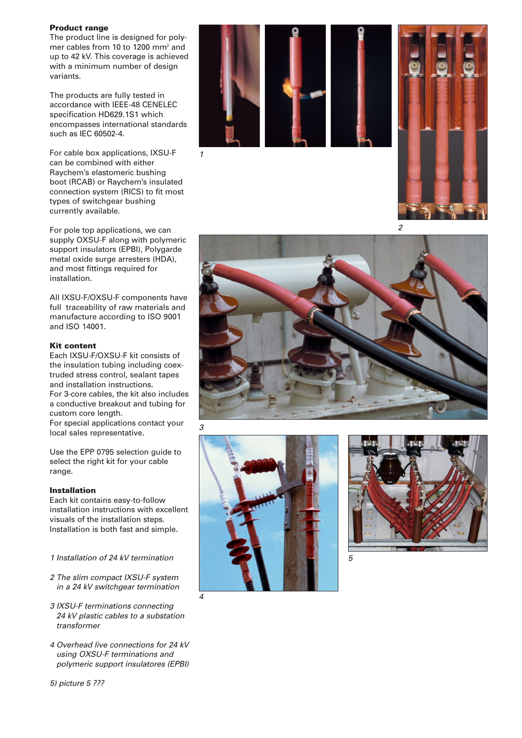#### **Product range**

The product line is designed for polymer cables from 10 to 1200 mm2 and up to 42 kV. This coverage is achieved with a minimum number of design variants.

The products are fully tested in accordance with IEEE-48 CENELEC specification HD629.1S1 which encompasses international standards such as IEC 60502-4.

For cable box applications, IXSU-F can be combined with either Raychem's elastomeric bushing boot (RCAB) or Raychem's insulated connection system (RICS) to fit most types of switchgear bushing currently available.

For pole top applications, we can supply OXSU-F along with polymeric support insulators (EPBI), Polygarde metal oxide surge arresters (HDA), and most fittings required for installation.

All IXSU-F/OXSU-F components have full traceability of raw materials and manufacture according to ISO 9001 and ISO 14001.

#### **Kit content**

Each IXSU-F/OXSU-F kit consists of the insulation tubing including coextruded stress control, sealant tapes and installation instructions. For 3-core cables, the kit also includes a conductive breakout and tubing for custom core length. For special applications contact your local sales representative.

Use the EPP 0795 selection guide to select the right kit for your cable range.

#### **Installation**

Each kit contains easy-to-follow installation instructions with excellent visuals of the installation steps. Installation is both fast and simple.

*1 Installation of 24 kV termination*

- *2 The slim compact IXSU-F system in a 24 kV switchgear termination*
- *3 IXSU-F terminations connecting 24 kV plastic cables to a substation transformer*
- *4 Overhead live connections for 24 kV using OXSU-F terminations and polymeric support insulatores (EPBI)*





*2*







*5*